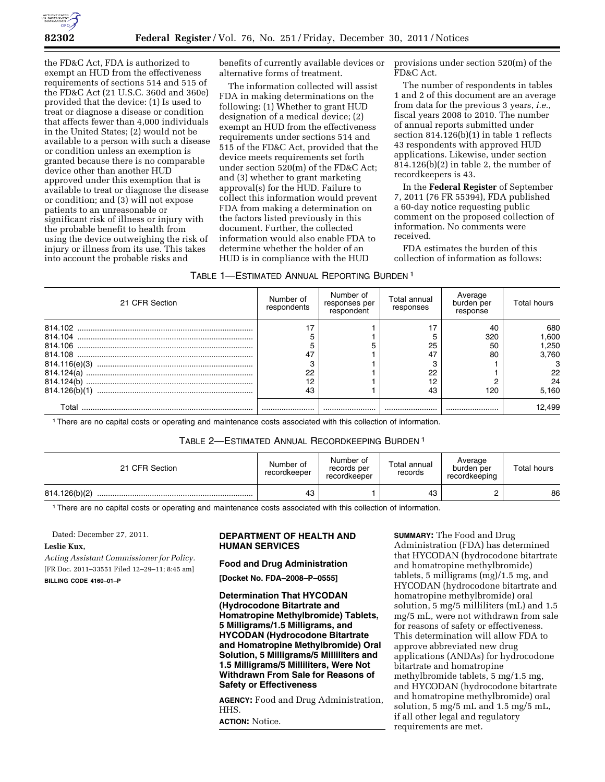

the FD&C Act, FDA is authorized to exempt an HUD from the effectiveness requirements of sections 514 and 515 of the FD&C Act (21 U.S.C. 360d and 360e) provided that the device: (1) Is used to treat or diagnose a disease or condition that affects fewer than 4,000 individuals in the United States; (2) would not be available to a person with such a disease or condition unless an exemption is granted because there is no comparable device other than another HUD approved under this exemption that is available to treat or diagnose the disease or condition; and (3) will not expose patients to an unreasonable or significant risk of illness or injury with the probable benefit to health from using the device outweighing the risk of injury or illness from its use. This takes into account the probable risks and

benefits of currently available devices or alternative forms of treatment.

The information collected will assist FDA in making determinations on the following: (1) Whether to grant HUD designation of a medical device; (2) exempt an HUD from the effectiveness requirements under sections 514 and 515 of the FD&C Act, provided that the device meets requirements set forth under section 520(m) of the FD&C Act; and (3) whether to grant marketing approval(s) for the HUD. Failure to collect this information would prevent FDA from making a determination on the factors listed previously in this document. Further, the collected information would also enable FDA to determine whether the holder of an HUD is in compliance with the HUD

provisions under section 520(m) of the FD&C Act.

The number of respondents in tables 1 and 2 of this document are an average from data for the previous 3 years, *i.e.,*  fiscal years 2008 to 2010. The number of annual reports submitted under section 814.126(b)(1) in table 1 reflects 43 respondents with approved HUD applications. Likewise, under section 814.126(b)(2) in table 2, the number of recordkeepers is 43.

In the **Federal Register** of September 7, 2011 (76 FR 55394), FDA published a 60-day notice requesting public comment on the proposed collection of information. No comments were received.

FDA estimates the burden of this collection of information as follows:

| TABLE 1—ESTIMATED ANNUAL REPORTING BURDEN 1 |  |
|---------------------------------------------|--|
|---------------------------------------------|--|

| 21 CFR Section | Number of<br>respondents | Number of<br>responses per<br>respondent | Total annual<br>responses | Average<br>burden per<br>response | Total hours |
|----------------|--------------------------|------------------------------------------|---------------------------|-----------------------------------|-------------|
|                |                          |                                          |                           | 40                                | 680         |
|                |                          |                                          |                           | 320                               | .600 ا      |
|                |                          |                                          | 25                        | 50                                | 250. ا      |
|                | 47                       |                                          | 47                        | 80                                | 3.760       |
|                |                          |                                          |                           |                                   |             |
| 814.124(a)     | 22                       |                                          | 22                        |                                   | 22          |
|                | 12                       |                                          | 12                        |                                   | 24          |
| 814.126(b)(1)  | 43                       |                                          | 43                        | 120                               | 5,160       |
| Γ∩tal          |                          |                                          |                           |                                   | 12.499      |

1There are no capital costs or operating and maintenance costs associated with this collection of information.

# TABLE 2—ESTIMATED ANNUAL RECORDKEEPING BURDEN 1

| 21 CFR Section | Number of<br>recordkeeper | Number of<br>records per<br>recordkeeper | Total annual<br>records | Average<br>burden per<br>recordkeeping | Total hours |
|----------------|---------------------------|------------------------------------------|-------------------------|----------------------------------------|-------------|
| 814.126(b)(2)  | 43                        |                                          | 43                      |                                        | 86          |

1There are no capital costs or operating and maintenance costs associated with this collection of information.

Dated: December 27, 2011.

## **Leslie Kux,**

*Acting Assistant Commissioner for Policy.*  [FR Doc. 2011–33551 Filed 12–29–11; 8:45 am] **BILLING CODE 4160–01–P** 

## **DEPARTMENT OF HEALTH AND HUMAN SERVICES**

#### **Food and Drug Administration**

**[Docket No. FDA–2008–P–0555]** 

**Determination That HYCODAN (Hydrocodone Bitartrate and Homatropine Methylbromide) Tablets, 5 Milligrams/1.5 Milligrams, and HYCODAN (Hydrocodone Bitartrate and Homatropine Methylbromide) Oral Solution, 5 Milligrams/5 Milliliters and 1.5 Milligrams/5 Milliliters, Were Not Withdrawn From Sale for Reasons of Safety or Effectiveness** 

**AGENCY:** Food and Drug Administration, HHS.

**ACTION:** Notice.

**SUMMARY:** The Food and Drug Administration (FDA) has determined that HYCODAN (hydrocodone bitartrate and homatropine methylbromide) tablets, 5 milligrams (mg)/1.5 mg, and HYCODAN (hydrocodone bitartrate and homatropine methylbromide) oral solution, 5 mg/5 milliliters (mL) and 1.5 mg/5 mL, were not withdrawn from sale for reasons of safety or effectiveness. This determination will allow FDA to approve abbreviated new drug applications (ANDAs) for hydrocodone bitartrate and homatropine methylbromide tablets, 5 mg/1.5 mg, and HYCODAN (hydrocodone bitartrate and homatropine methylbromide) oral solution, 5 mg/5 mL and 1.5 mg/5 mL, if all other legal and regulatory requirements are met.